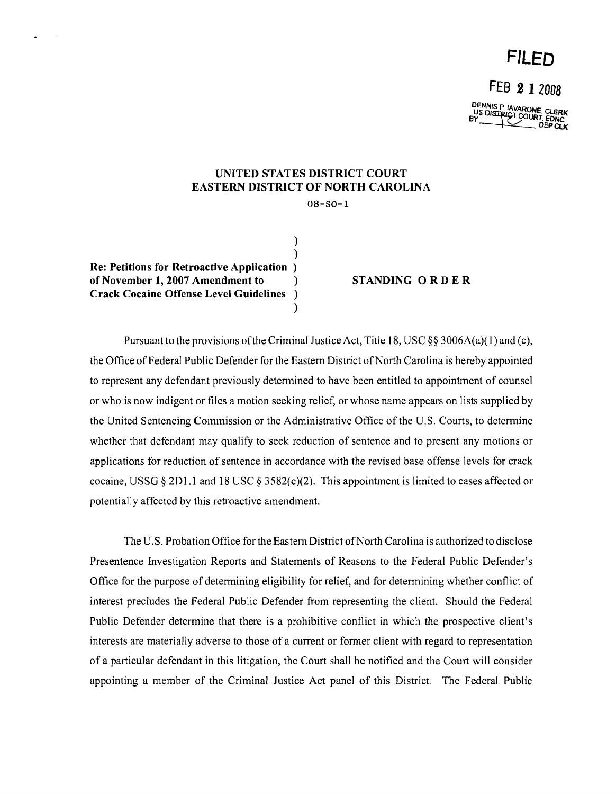## **FILED**

FEB 2 I <sup>2008</sup>

DENNISP IAVARONE, CLERK<br>US DISTRICT COURT, EDNC<br>BY DEPCUK

## UNITED STATES DISTRICT COURT EASTERN DISTRICT OF NORTH CAROLINA

) )

)

08-80-1

Re: Petitions for Retroactive Application ) of November 1, 2007 Amendment to ) STANDING 0 R D E R Crack Cocaine Offense Level Guidelines )

Pursuant to the provisions of the Criminal Justice Act, Title 18, USC  $\S$ § 3006A(a)(1) and (c), the Office of Federal Public Defender for the Eastern District of North Carolina is hereby appointed to represent any defendant previously detennined to have been entitled to appointment of counsel or who is now indigent or files a motion seeking relief, or whose name appears on lists supplied by the United Sentencing Commission or the Administrative Office of the U.S. Courts, to detennine whether that defendant may qualify to seek reduction of sentence and to present any motions or applications for reduction of sentence in accordance with the revised base offense levels for crack cocaine, USSG  $\S 2D1.1$  and 18 USC  $\S 3582(c)(2)$ . This appointment is limited to cases affected or potentially affected by this retroactive amendment.

The U.S. Probation Office for the Eastern District of North Carolina is authorized to disclose Presentence Investigation Reports and Statements of Reasons to the Federal Public Defender's Office for the purpose of detennining eligibility for relief, and for determining whether conflict of interest precludes the Federal Public Defender from representing the client. Should the Federal Public Defender determine that there is a prohibitive conflict in which the prospective client's interests are materially adverse to those of a current or former client with regard to representation of a particular defendant in this litigation, the Court shall be notified and the Court will consider appointing a member of the Criminal Justice Act panel of this District. The Federal Public